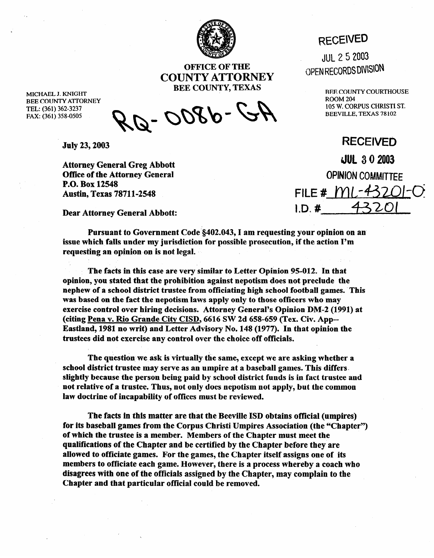

WEN REGORD SOFT THE **OPEN REGORDS** DIVISION **COUNTY ATTORNEY BEE COUNTY, TEXAS** 

MICHAEL J. KNIGHT BEE COUNTY ATTORNEY TEL: (361) 362-3237 FAX: (361) 358-0505

A-2-0800-

**Juiy 23,2003** 

**Attorney General Greg Abbott Office of the Attorney General P.O. Box 12548 Austin, Texas 7871 l-2548** 

**Dear Attorney General Abbott:** 

**Pursuant to Government Code \$402.043, I am requesting your opinion on an issue which falls under my jurisdiction for possible prosecution, if the action I'm requesting an opinion on is not legal.** 

**The facts in this case are very similar to Letter Opinion 95-012. In that opinion, you stated that the prohibition against nepotism does not preclude the nephew of a school district trustee from officiating high school football games. This was based on the fact the nepotism laws apply only to those officers who may exercise control over hiring decisions. Attorney General's Opinion DM-2 (1991) at**  (citing Pena v. Rio Grande City CISD, 6616 SW 2d 658-659 (Tex. Civ. App--**Eastland, 1981 no writ) and Letter Advisory No. 148 (1977). In that opinion the**  trustees did not exercise any control over the choice off officials.

**The question we ask is virtually the same, except we are asking whether a school district trustee may serve as an umpire at a baseball games. This differs. slightly because the person being paid by school district funds is in fact trustee and not relative of a trustee. Thus, not only does nepotism not apply, but the common law doctrine of incapability of offices must be reviewed.** 

The facts in this matter are that the Beeville ISD obtains official (umpires) for its baseball games from the Corpus Christi Umpires Association (the "Chapter") **of which the trustee is a member. Members of the Chapter must meet the qualifications of the Chapter and be certified by the Chapter before they are allowed to officiate games. For the games, the Chapter itself assigns one of its**  members to officiate each game. However, there is a process whereby a coach who **disagrees with one of the officials assigned by the Chapter, may complain to the**  Chapter and that particular official could be removed.

## **RECEIVED**

JUL 2 5 2003

BEE COUNTY COURTHOUSE ROOM 204 105 W. CORPUS CHRIST1 ST. BEEVILLE, TEXAS 78 102

**RECEIVED**  3UL **3 0 2003 OPINION** COMMITTEE FILE # ML-43201**l.D= #** 432oI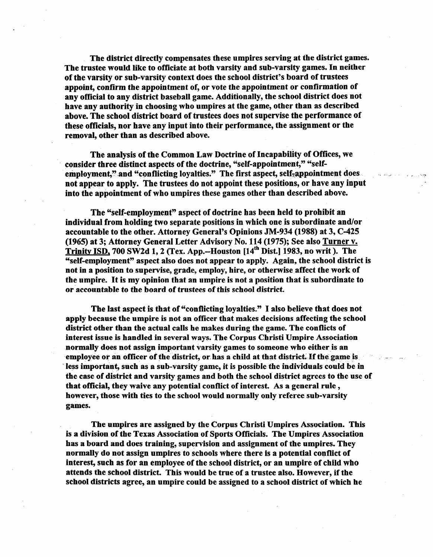The district directly compensates these umpires serving at the district games. **The trustee would like to officiate at both varsity and sub-varsity games. In neither of the varsity or sub-varsity context does the school district's board of trustees appoint, confirm the appointment of, or vote the appointment or confirmation of any official to any district baseball game. Additionally, the school district does not have any authority in choosing who umpires at the game, other than as described above. The school district board of trustees does not supervise the performance of these officials, nor have any input into their performance, the assignment or the removal, other than as described above.** 

**The analysis of the Common Law Doctrine of Incapability of Offices, we consider three distinct aspects of the doctrine, "self-appointment," "self**employment," and "conflicting loyalties." The first aspect, self-appointment does **not appear to apply. The trustees do not appoint these positions, or have any input into the appointment of who umpires these games other than described above.** 

**The "self-employment" aspect of doctrine has been held to prohibit an individual from holding two separate positions in which one is subordinate and/or accountable to the other. Attorney General's Opinions JM-934 (1988) at 3, C-425 (1965) at 3; Attorney General Letter Advisory No. 114 (1975); See also Turner v. Trinitv ISD, 700 SW2d 1,2 (Tex. App.-Houston [14'h Dist.] 1983, no writ ). The**  "self-employment" aspect also does not appear to apply. Again, the school district is **not in a position to supervise, grade, employ, hire, or otherwise affect the work of the umpire. It is my opinion that an umpire is not a position that is subordinate to or accountable to the board of trustees of this school district.** 

**The last aspect is that of "conflicting loyalties." I also believe that does not apply because the umpire is not an officer that makes decisions affecting the school district other than the actual calls he makes during the game. The conflicts of interest issue is handled in several ways. The Corpus Christi Umpire Association normally does not assign important varsity games to someone who either is an**  employee or an officer of the district, or has a child at that district. If the game is less important, such as a sub-varsity game, it is possible the individuals could be in **the case of district and varsity games and both the school district agrees to the use of that official, they waive any potential conflict of interest. As a general rule , however, those with ties to the school would normally only referee sub-varsity games.** 

**The umpires are assigned by the Corpus Christi Umpires Association. This is a division of the Texas Association of Sports Officials. The Umpires Association has a board and does training, supervision and assignment of the umpires. They normally do not assign umpires to schools where there is a potential conflict of interest, such as for an employee of the school district, or an umpire of child who attends the school district. This would be true of a trustee also. However, if the school districts agree, an umpire could be assigned to a school district of which he**